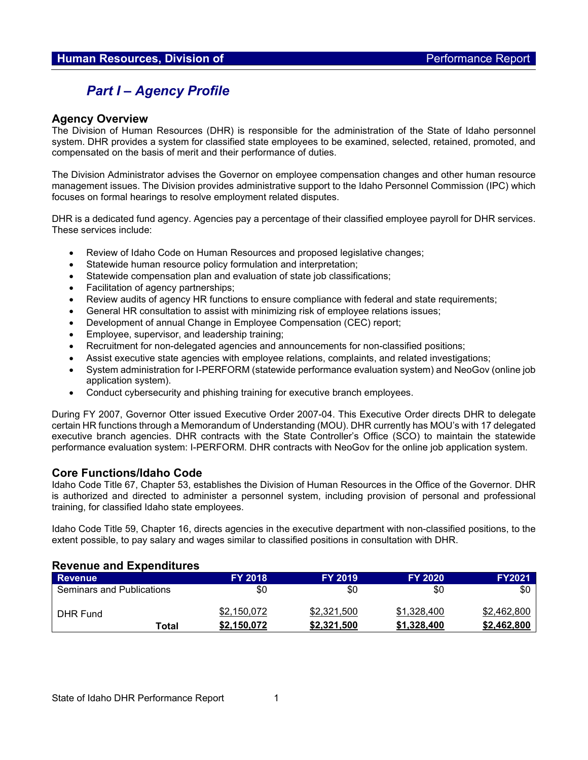# *Part I – Agency Profile*

#### **Agency Overview**

The Division of Human Resources (DHR) is responsible for the administration of the State of Idaho personnel system. DHR provides a system for classified state employees to be examined, selected, retained, promoted, and compensated on the basis of merit and their performance of duties.

The Division Administrator advises the Governor on employee compensation changes and other human resource management issues. The Division provides administrative support to the Idaho Personnel Commission (IPC) which focuses on formal hearings to resolve employment related disputes.

DHR is a dedicated fund agency. Agencies pay a percentage of their classified employee payroll for DHR services. These services include:

- Review of Idaho Code on Human Resources and proposed legislative changes;
- Statewide human resource policy formulation and interpretation;
- Statewide compensation plan and evaluation of state job classifications;
- Facilitation of agency partnerships;
- Review audits of agency HR functions to ensure compliance with federal and state requirements;
- General HR consultation to assist with minimizing risk of employee relations issues;
- Development of annual Change in Employee Compensation (CEC) report;
- Employee, supervisor, and leadership training;
- Recruitment for non-delegated agencies and announcements for non-classified positions;
- Assist executive state agencies with employee relations, complaints, and related investigations;
- System administration for I-PERFORM (statewide performance evaluation system) and NeoGov (online job application system).
- Conduct cybersecurity and phishing training for executive branch employees.

During FY 2007, Governor Otter issued Executive Order 2007-04. This Executive Order directs DHR to delegate certain HR functions through a Memorandum of Understanding (MOU). DHR currently has MOU's with 17 delegated executive branch agencies. DHR contracts with the State Controller's Office (SCO) to maintain the statewide performance evaluation system: I-PERFORM. DHR contracts with NeoGov for the online job application system.

## **Core Functions/Idaho Code**

Idaho Code Title 67, Chapter 53, establishes the Division of Human Resources in the Office of the Governor. DHR is authorized and directed to administer a personnel system, including provision of personal and professional training, for classified Idaho state employees.

Idaho Code Title 59, Chapter 16, directs agencies in the executive department with non-classified positions, to the extent possible, to pay salary and wages similar to classified positions in consultation with DHR.

#### **Revenue and Expenditures**

| <b>Revenue</b>                   |       | <b>FY 2018</b> | <b>FY 2019</b> | <b>FY 2020</b> | <b>FY2021</b> |
|----------------------------------|-------|----------------|----------------|----------------|---------------|
| <b>Seminars and Publications</b> |       | \$0            | \$0            | \$0            | \$0           |
| DHR Fund                         |       | \$2,150,072    | \$2,321,500    | \$1,328,400    | \$2,462,800   |
|                                  | Total | \$2.150.072    | \$2,321,500    | \$1,328,400    | \$2,462,800   |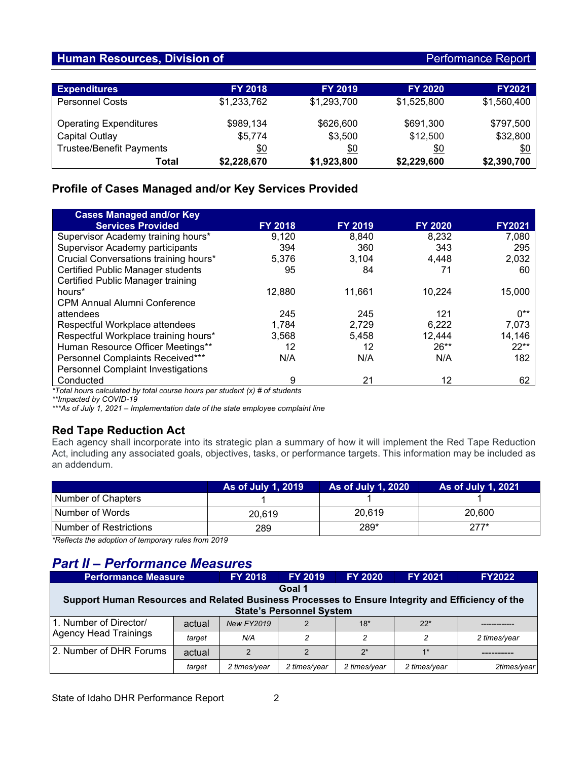## **Human Resources, Division of Performance Report Authority Control Authority Control Report**

| <b>Expenditures</b>             | <b>FY 2018</b> | <b>FY 2019</b> | <b>FY 2020</b> | <b>FY2021</b> |
|---------------------------------|----------------|----------------|----------------|---------------|
| <b>Personnel Costs</b>          | \$1,233,762    | \$1,293,700    | \$1,525,800    | \$1,560,400   |
| <b>Operating Expenditures</b>   | \$989,134      | \$626,600      | \$691,300      | \$797,500     |
| Capital Outlay                  | \$5,774        | \$3,500        | \$12,500       | \$32,800      |
| <b>Trustee/Benefit Payments</b> | \$0            | \$0            | \$0            | \$0           |
| Total                           | \$2,228,670    | \$1,923,800    | \$2,229,600    | \$2,390,700   |

# **Profile of Cases Managed and/or Key Services Provided**

| <b>Cases Managed and/or Key</b>                                             |                |                |                |               |  |  |  |
|-----------------------------------------------------------------------------|----------------|----------------|----------------|---------------|--|--|--|
| <b>Services Provided</b>                                                    | <b>FY 2018</b> | <b>FY 2019</b> | <b>FY 2020</b> | <b>FY2021</b> |  |  |  |
| Supervisor Academy training hours*                                          | 9,120          | 8,840          | 8,232          | 7,080         |  |  |  |
| Supervisor Academy participants                                             | 394            | 360            | 343            | 295           |  |  |  |
| Crucial Conversations training hours*                                       | 5,376          | 3.104          | 4,448          | 2,032         |  |  |  |
| <b>Certified Public Manager students</b>                                    | 95             | 84             | 71             | 60            |  |  |  |
| Certified Public Manager training                                           |                |                |                |               |  |  |  |
| hours <sup>*</sup>                                                          | 12.880         | 11.661         | 10.224         | 15,000        |  |  |  |
| <b>CPM Annual Alumni Conference</b>                                         |                |                |                |               |  |  |  |
| attendees                                                                   | 245            | 245            | 121            | $0**$         |  |  |  |
| Respectful Workplace attendees                                              | 1,784          | 2,729          | 6,222          | 7,073         |  |  |  |
| Respectful Workplace training hours*                                        | 3,568          | 5,458          | 12,444         | 14,146        |  |  |  |
| Human Resource Officer Meetings**                                           | 12             | 12             | $26**$         | $22**$        |  |  |  |
| Personnel Complaints Received***                                            | N/A            | N/A            | N/A            | 182           |  |  |  |
| <b>Personnel Complaint Investigations</b>                                   |                |                |                |               |  |  |  |
| Conducted                                                                   | 9              | 21             | 12             | 62            |  |  |  |
| *Total houre calculated by total course hours per student (x) # of students |                |                |                |               |  |  |  |

*\*Total hours calculated by total course hours per student (x) # of students*

*\*\*Impacted by COVID-19*

*\*\*\*As of July 1, 2021 – Implementation date of the state employee complaint line*

# **Red Tape Reduction Act**

Each agency shall incorporate into its strategic plan a summary of how it will implement the Red Tape Reduction Act, including any associated goals, objectives, tasks, or performance targets. This information may be included as an addendum.

|                           | As of July 1, 2019 | As of July 1, 2020 | <b>As of July 1, 2021</b> |
|---------------------------|--------------------|--------------------|---------------------------|
| Number of Chapters        |                    |                    |                           |
| l Number of Words         | 20.619             | 20.619             | 20,600                    |
| l Number of Restrictions_ | 289                | 289*               | $277*$                    |

*\*Reflects the adoption of temporary rules from 2019*

# *Part II – Performance Measures*

| <b>Performance Measure</b>                                                                       |        | <b>FY 2018</b>    | <b>FY 2019</b> | <b>FY 2020</b> | <b>FY 2021</b> | <b>FY2022</b> |  |  |
|--------------------------------------------------------------------------------------------------|--------|-------------------|----------------|----------------|----------------|---------------|--|--|
| Goal 1                                                                                           |        |                   |                |                |                |               |  |  |
| Support Human Resources and Related Business Processes to Ensure Integrity and Efficiency of the |        |                   |                |                |                |               |  |  |
| <b>State's Personnel System</b>                                                                  |        |                   |                |                |                |               |  |  |
| 1. Number of Director/<br>Agency Head Trainings                                                  | actual | <b>New FY2019</b> |                | $18*$          | $22*$          |               |  |  |
|                                                                                                  | target | N/A               |                | $\mathcal{P}$  |                | 2 times/year  |  |  |
| 2. Number of DHR Forums                                                                          | actual | $\mathfrak{p}$    | $\Omega$       | $2^*$          | $1*$           |               |  |  |
|                                                                                                  | target | 2 times/year      | 2 times/year   | 2 times/year   | 2 times/year   | 2times/vear   |  |  |